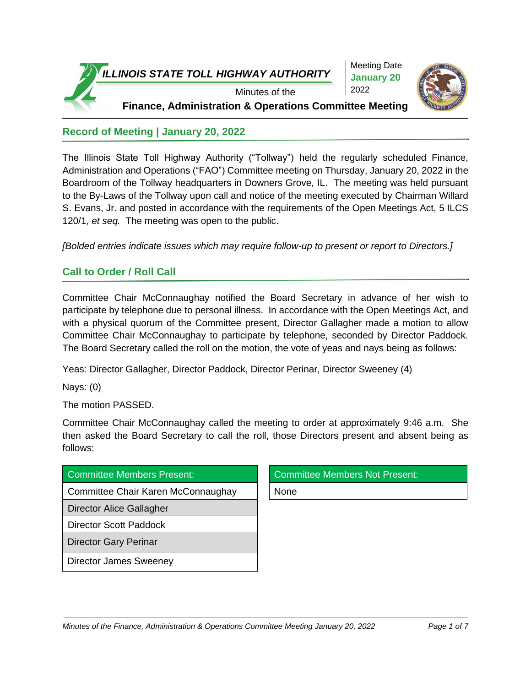

**Record of Meeting | January 20, 2022**

The Illinois State Toll Highway Authority ("Tollway") held the regularly scheduled Finance, Administration and Operations ("FAO") Committee meeting on Thursday, January 20, 2022 in the Boardroom of the Tollway headquarters in Downers Grove, IL. The meeting was held pursuant to the By-Laws of the Tollway upon call and notice of the meeting executed by Chairman Willard S. Evans, Jr. and posted in accordance with the requirements of the Open Meetings Act, 5 ILCS 120/1, *et seq.* The meeting was open to the public.

*[Bolded entries indicate issues which may require follow-up to present or report to Directors.]*

## **Call to Order / Roll Call**

Committee Chair McConnaughay notified the Board Secretary in advance of her wish to participate by telephone due to personal illness. In accordance with the Open Meetings Act, and with a physical quorum of the Committee present, Director Gallagher made a motion to allow Committee Chair McConnaughay to participate by telephone, seconded by Director Paddock. The Board Secretary called the roll on the motion, the vote of yeas and nays being as follows:

Yeas: Director Gallagher, Director Paddock, Director Perinar, Director Sweeney (4)

Nays: (0)

The motion PASSED.

Committee Chair McConnaughay called the meeting to order at approximately 9:46 a.m. She then asked the Board Secretary to call the roll, those Directors present and absent being as follows:

| Committee Members Present:         | <b>Committee Members Not Present:</b> |
|------------------------------------|---------------------------------------|
| Committee Chair Karen McConnaughay | None                                  |
| Director Alice Gallagher           |                                       |
| <b>Director Scott Paddock</b>      |                                       |
| <b>Director Gary Perinar</b>       |                                       |
| <b>Director James Sweeney</b>      |                                       |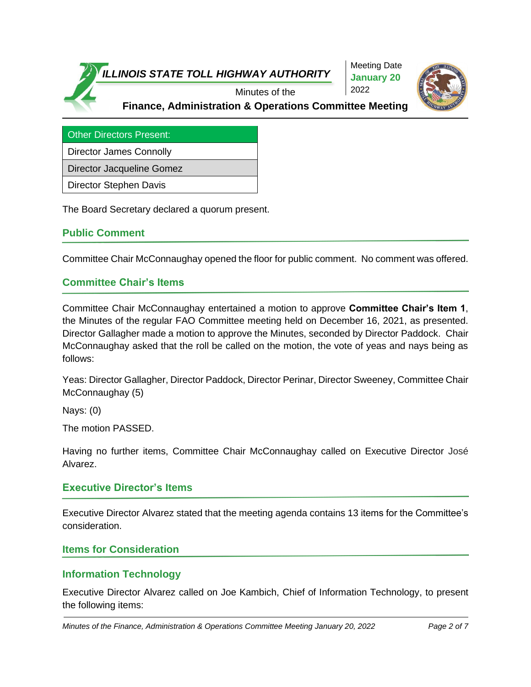



Other Directors Present:

Director James Connolly

Director Jacqueline Gomez

Director Stephen Davis

The Board Secretary declared a quorum present.

#### **Public Comment**

Committee Chair McConnaughay opened the floor for public comment. No comment was offered.

## **Committee Chair's Items**

Committee Chair McConnaughay entertained a motion to approve **Committee Chair's Item 1**, the Minutes of the regular FAO Committee meeting held on December 16, 2021, as presented. Director Gallagher made a motion to approve the Minutes, seconded by Director Paddock. Chair McConnaughay asked that the roll be called on the motion, the vote of yeas and nays being as follows:

Yeas: Director Gallagher, Director Paddock, Director Perinar, Director Sweeney, Committee Chair McConnaughay (5)

Nays: (0)

The motion PASSED.

Having no further items, Committee Chair McConnaughay called on Executive Director José Alvarez.

#### **Executive Director's Items**

Executive Director Alvarez stated that the meeting agenda contains 13 items for the Committee's consideration.

#### **Items for Consideration**

## **Information Technology**

Executive Director Alvarez called on Joe Kambich, Chief of Information Technology, to present the following items: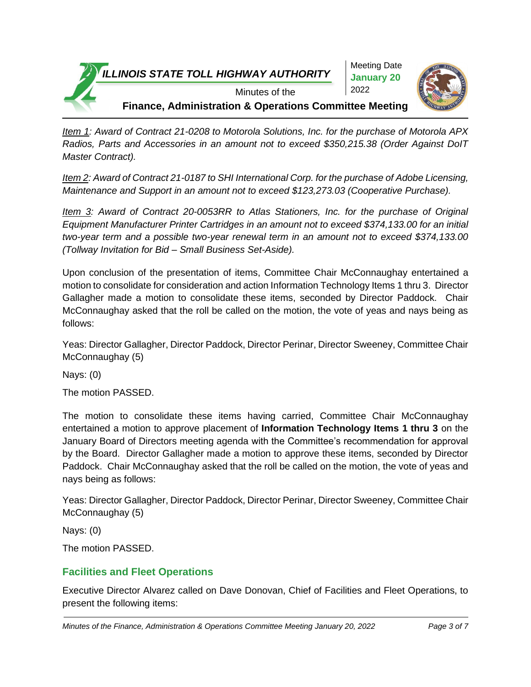



**Finance, Administration & Operations Committee Meeting**

*Item 1: Award of Contract 21-0208 to Motorola Solutions, Inc. for the purchase of Motorola APX Radios, Parts and Accessories in an amount not to exceed \$350,215.38 (Order Against DoIT Master Contract).*

*Item 2: Award of Contract 21-0187 to SHI International Corp. for the purchase of Adobe Licensing, Maintenance and Support in an amount not to exceed \$123,273.03 (Cooperative Purchase).*

*Item 3: Award of Contract 20-0053RR to Atlas Stationers, Inc. for the purchase of Original Equipment Manufacturer Printer Cartridges in an amount not to exceed \$374,133.00 for an initial two-year term and a possible two-year renewal term in an amount not to exceed \$374,133.00 (Tollway Invitation for Bid – Small Business Set-Aside).*

Upon conclusion of the presentation of items, Committee Chair McConnaughay entertained a motion to consolidate for consideration and action Information Technology Items 1 thru 3. Director Gallagher made a motion to consolidate these items, seconded by Director Paddock. Chair McConnaughay asked that the roll be called on the motion, the vote of yeas and nays being as follows:

Yeas: Director Gallagher, Director Paddock, Director Perinar, Director Sweeney, Committee Chair McConnaughay (5)

Nays: (0)

The motion PASSED.

The motion to consolidate these items having carried, Committee Chair McConnaughay entertained a motion to approve placement of **Information Technology Items 1 thru 3** on the January Board of Directors meeting agenda with the Committee's recommendation for approval by the Board. Director Gallagher made a motion to approve these items, seconded by Director Paddock. Chair McConnaughay asked that the roll be called on the motion, the vote of yeas and nays being as follows:

Yeas: Director Gallagher, Director Paddock, Director Perinar, Director Sweeney, Committee Chair McConnaughay (5)

Nays: (0)

The motion PASSED.

## **Facilities and Fleet Operations**

Executive Director Alvarez called on Dave Donovan, Chief of Facilities and Fleet Operations, to present the following items: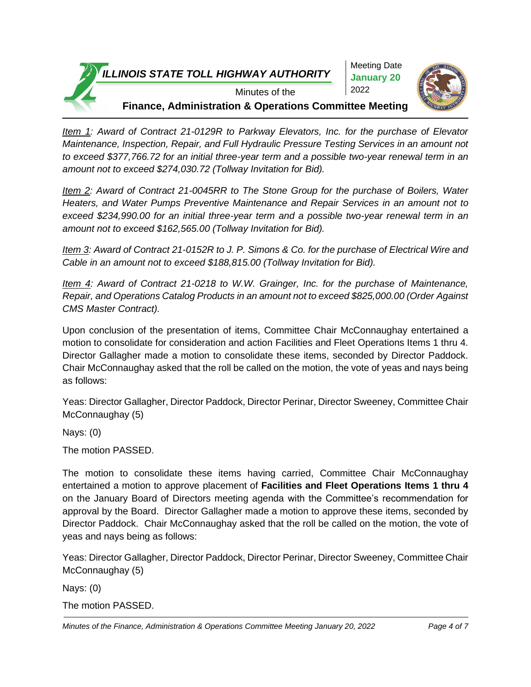



**Finance, Administration & Operations Committee Meeting**

*Item 1: Award of Contract 21-0129R to Parkway Elevators, Inc. for the purchase of Elevator Maintenance, Inspection, Repair, and Full Hydraulic Pressure Testing Services in an amount not to exceed \$377,766.72 for an initial three-year term and a possible two-year renewal term in an amount not to exceed \$274,030.72 (Tollway Invitation for Bid).*

*Item 2: Award of Contract 21-0045RR to The Stone Group for the purchase of Boilers, Water Heaters, and Water Pumps Preventive Maintenance and Repair Services in an amount not to exceed \$234,990.00 for an initial three-year term and a possible two-year renewal term in an amount not to exceed \$162,565.00 (Tollway Invitation for Bid).*

*Item 3: Award of Contract 21-0152R to J. P. Simons & Co. for the purchase of Electrical Wire and Cable in an amount not to exceed \$188,815.00 (Tollway Invitation for Bid).*

*Item 4: Award of Contract 21-0218 to W.W. Grainger, Inc. for the purchase of Maintenance, Repair, and Operations Catalog Products in an amount not to exceed \$825,000.00 (Order Against CMS Master Contract).*

Upon conclusion of the presentation of items, Committee Chair McConnaughay entertained a motion to consolidate for consideration and action Facilities and Fleet Operations Items 1 thru 4. Director Gallagher made a motion to consolidate these items, seconded by Director Paddock. Chair McConnaughay asked that the roll be called on the motion, the vote of yeas and nays being as follows:

Yeas: Director Gallagher, Director Paddock, Director Perinar, Director Sweeney, Committee Chair McConnaughay (5)

Nays: (0)

The motion PASSED.

The motion to consolidate these items having carried, Committee Chair McConnaughay entertained a motion to approve placement of **Facilities and Fleet Operations Items 1 thru 4**  on the January Board of Directors meeting agenda with the Committee's recommendation for approval by the Board. Director Gallagher made a motion to approve these items, seconded by Director Paddock. Chair McConnaughay asked that the roll be called on the motion, the vote of yeas and nays being as follows:

Yeas: Director Gallagher, Director Paddock, Director Perinar, Director Sweeney, Committee Chair McConnaughay (5)

Nays: (0)

The motion PASSED.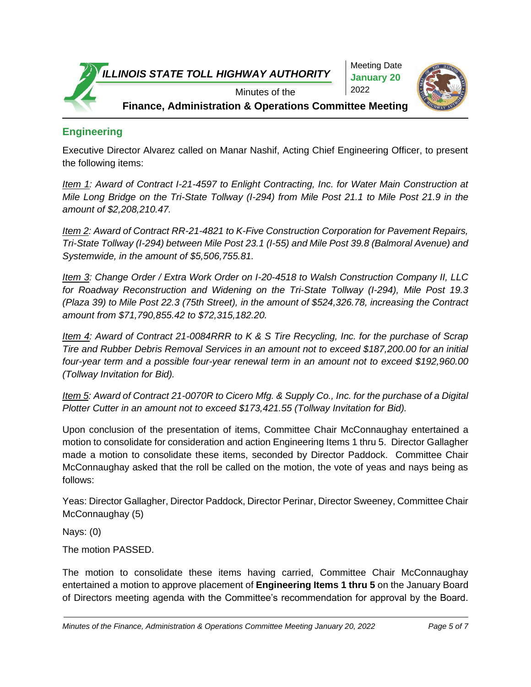



**Engineering**

Executive Director Alvarez called on Manar Nashif, Acting Chief Engineering Officer, to present the following items:

*Item 1: Award of Contract I-21-4597 to Enlight Contracting, Inc. for Water Main Construction at Mile Long Bridge on the Tri-State Tollway (I-294) from Mile Post 21.1 to Mile Post 21.9 in the amount of \$2,208,210.47.* 

*Item 2: Award of Contract RR-21-4821 to K-Five Construction Corporation for Pavement Repairs, Tri-State Tollway (I-294) between Mile Post 23.1 (I-55) and Mile Post 39.8 (Balmoral Avenue) and Systemwide, in the amount of \$5,506,755.81.*

*Item 3: Change Order / Extra Work Order on I-20-4518 to Walsh Construction Company II, LLC for Roadway Reconstruction and Widening on the Tri-State Tollway (I-294), Mile Post 19.3 (Plaza 39) to Mile Post 22.3 (75th Street), in the amount of \$524,326.78, increasing the Contract amount from \$71,790,855.42 to \$72,315,182.20.*

*Item 4: Award of Contract 21-0084RRR to K & S Tire Recycling, Inc. for the purchase of Scrap Tire and Rubber Debris Removal Services in an amount not to exceed \$187,200.00 for an initial four-year term and a possible four-year renewal term in an amount not to exceed \$192,960.00 (Tollway Invitation for Bid).*

*Item 5: Award of Contract 21-0070R to Cicero Mfg. & Supply Co., Inc. for the purchase of a Digital Plotter Cutter in an amount not to exceed \$173,421.55 (Tollway Invitation for Bid).*

Upon conclusion of the presentation of items, Committee Chair McConnaughay entertained a motion to consolidate for consideration and action Engineering Items 1 thru 5. Director Gallagher made a motion to consolidate these items, seconded by Director Paddock. Committee Chair McConnaughay asked that the roll be called on the motion, the vote of yeas and nays being as follows:

Yeas: Director Gallagher, Director Paddock, Director Perinar, Director Sweeney, Committee Chair McConnaughay (5)

Nays: (0)

The motion PASSED.

The motion to consolidate these items having carried, Committee Chair McConnaughay entertained a motion to approve placement of **Engineering Items 1 thru 5** on the January Board of Directors meeting agenda with the Committee's recommendation for approval by the Board.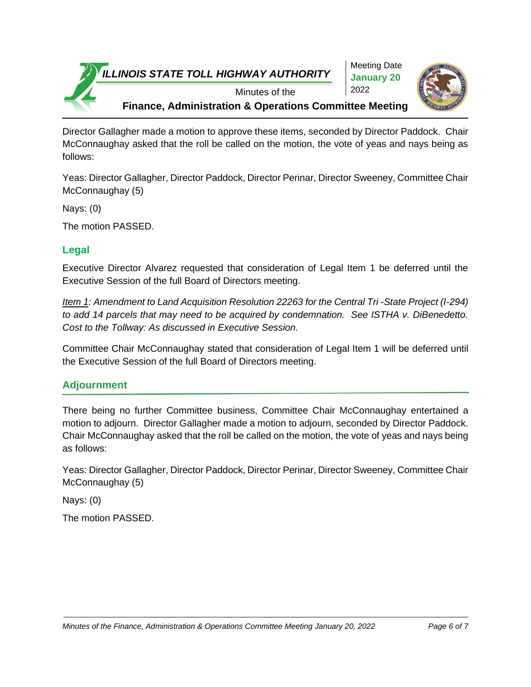



Director Gallagher made a motion to approve these items, seconded by Director Paddock. Chair McConnaughay asked that the roll be called on the motion, the vote of yeas and nays being as follows:

Yeas: Director Gallagher, Director Paddock, Director Perinar, Director Sweeney, Committee Chair McConnaughay (5)

Nays: (0)

The motion PASSED.

## **Legal**

Executive Director Alvarez requested that consideration of Legal Item 1 be deferred until the Executive Session of the full Board of Directors meeting.

*Item 1: Amendment to Land Acquisition Resolution 22263 for the Central Tri -State Project (I-294) to add 14 parcels that may need to be acquired by condemnation. See ISTHA v. DiBenedetto. Cost to the Tollway: As discussed in Executive Session.*

Committee Chair McConnaughay stated that consideration of Legal Item 1 will be deferred until the Executive Session of the full Board of Directors meeting.

# **Adjournment**

There being no further Committee business, Committee Chair McConnaughay entertained a motion to adjourn. Director Gallagher made a motion to adjourn, seconded by Director Paddock. Chair McConnaughay asked that the roll be called on the motion, the vote of yeas and nays being as follows:

Yeas: Director Gallagher, Director Paddock, Director Perinar, Director Sweeney, Committee Chair McConnaughay (5)

Nays: (0)

The motion PASSED.